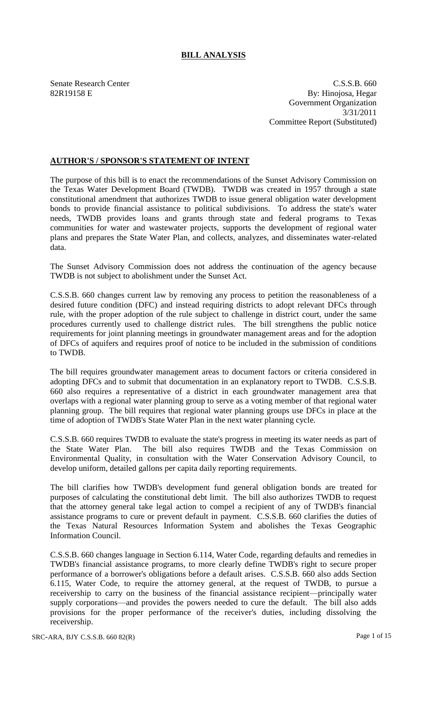## **BILL ANALYSIS**

Senate Research Center C.S.S.B. 660 82R19158 E By: Hinojosa, Hegar Government Organization 3/31/2011 Committee Report (Substituted)

## **AUTHOR'S / SPONSOR'S STATEMENT OF INTENT**

The purpose of this bill is to enact the recommendations of the Sunset Advisory Commission on the Texas Water Development Board (TWDB). TWDB was created in 1957 through a state constitutional amendment that authorizes TWDB to issue general obligation water development bonds to provide financial assistance to political subdivisions. To address the state's water needs, TWDB provides loans and grants through state and federal programs to Texas communities for water and wastewater projects, supports the development of regional water plans and prepares the State Water Plan, and collects, analyzes, and disseminates water-related data.

The Sunset Advisory Commission does not address the continuation of the agency because TWDB is not subject to abolishment under the Sunset Act.

C.S.S.B. 660 changes current law by removing any process to petition the reasonableness of a desired future condition (DFC) and instead requiring districts to adopt relevant DFCs through rule, with the proper adoption of the rule subject to challenge in district court, under the same procedures currently used to challenge district rules. The bill strengthens the public notice requirements for joint planning meetings in groundwater management areas and for the adoption of DFCs of aquifers and requires proof of notice to be included in the submission of conditions to TWDB.

The bill requires groundwater management areas to document factors or criteria considered in adopting DFCs and to submit that documentation in an explanatory report to TWDB. C.S.S.B. 660 also requires a representative of a district in each groundwater management area that overlaps with a regional water planning group to serve as a voting member of that regional water planning group. The bill requires that regional water planning groups use DFCs in place at the time of adoption of TWDB's State Water Plan in the next water planning cycle.

C.S.S.B. 660 requires TWDB to evaluate the state's progress in meeting its water needs as part of the State Water Plan. The bill also requires TWDB and the Texas Commission on Environmental Quality, in consultation with the Water Conservation Advisory Council, to develop uniform, detailed gallons per capita daily reporting requirements.

The bill clarifies how TWDB's development fund general obligation bonds are treated for purposes of calculating the constitutional debt limit. The bill also authorizes TWDB to request that the attorney general take legal action to compel a recipient of any of TWDB's financial assistance programs to cure or prevent default in payment. C.S.S.B. 660 clarifies the duties of the Texas Natural Resources Information System and abolishes the Texas Geographic Information Council.

C.S.S.B. 660 changes language in Section 6.114, Water Code, regarding defaults and remedies in TWDB's financial assistance programs, to more clearly define TWDB's right to secure proper performance of a borrower's obligations before a default arises. C.S.S.B. 660 also adds Section 6.115, Water Code, to require the attorney general, at the request of TWDB, to pursue a receivership to carry on the business of the financial assistance recipient—principally water supply corporations—and provides the powers needed to cure the default. The bill also adds provisions for the proper performance of the receiver's duties, including dissolving the receivership.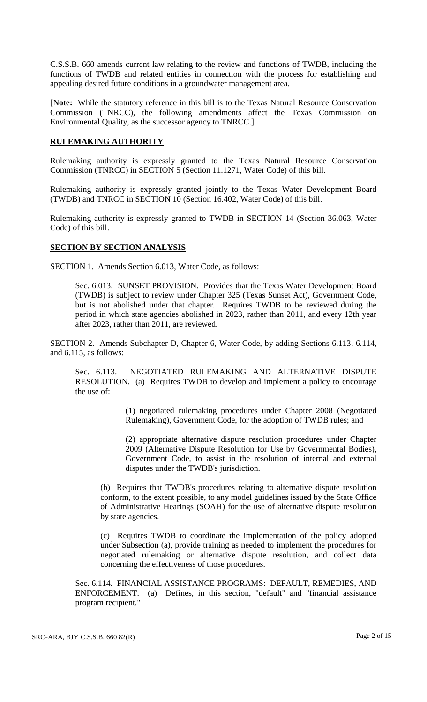C.S.S.B. 660 amends current law relating to the review and functions of TWDB, including the functions of TWDB and related entities in connection with the process for establishing and appealing desired future conditions in a groundwater management area.

[**Note:** While the statutory reference in this bill is to the Texas Natural Resource Conservation Commission (TNRCC), the following amendments affect the Texas Commission on Environmental Quality, as the successor agency to TNRCC.]

## **RULEMAKING AUTHORITY**

Rulemaking authority is expressly granted to the Texas Natural Resource Conservation Commission (TNRCC) in SECTION 5 (Section 11.1271, Water Code) of this bill.

Rulemaking authority is expressly granted jointly to the Texas Water Development Board (TWDB) and TNRCC in SECTION 10 (Section 16.402, Water Code) of this bill.

Rulemaking authority is expressly granted to TWDB in SECTION 14 (Section 36.063, Water Code) of this bill.

## **SECTION BY SECTION ANALYSIS**

SECTION 1. Amends Section 6.013, Water Code, as follows:

Sec. 6.013. SUNSET PROVISION. Provides that the Texas Water Development Board (TWDB) is subject to review under Chapter 325 (Texas Sunset Act), Government Code, but is not abolished under that chapter. Requires TWDB to be reviewed during the period in which state agencies abolished in 2023, rather than 2011, and every 12th year after 2023, rather than 2011, are reviewed.

SECTION 2. Amends Subchapter D, Chapter 6, Water Code, by adding Sections 6.113, 6.114, and 6.115, as follows:

Sec. 6.113. NEGOTIATED RULEMAKING AND ALTERNATIVE DISPUTE RESOLUTION. (a) Requires TWDB to develop and implement a policy to encourage the use of:

> (1) negotiated rulemaking procedures under Chapter 2008 (Negotiated Rulemaking), Government Code, for the adoption of TWDB rules; and

> (2) appropriate alternative dispute resolution procedures under Chapter 2009 (Alternative Dispute Resolution for Use by Governmental Bodies), Government Code, to assist in the resolution of internal and external disputes under the TWDB's jurisdiction.

(b) Requires that TWDB's procedures relating to alternative dispute resolution conform, to the extent possible, to any model guidelines issued by the State Office of Administrative Hearings (SOAH) for the use of alternative dispute resolution by state agencies.

(c) Requires TWDB to coordinate the implementation of the policy adopted under Subsection (a), provide training as needed to implement the procedures for negotiated rulemaking or alternative dispute resolution, and collect data concerning the effectiveness of those procedures.

Sec. 6.114. FINANCIAL ASSISTANCE PROGRAMS: DEFAULT, REMEDIES, AND ENFORCEMENT. (a) Defines, in this section, "default" and "financial assistance program recipient."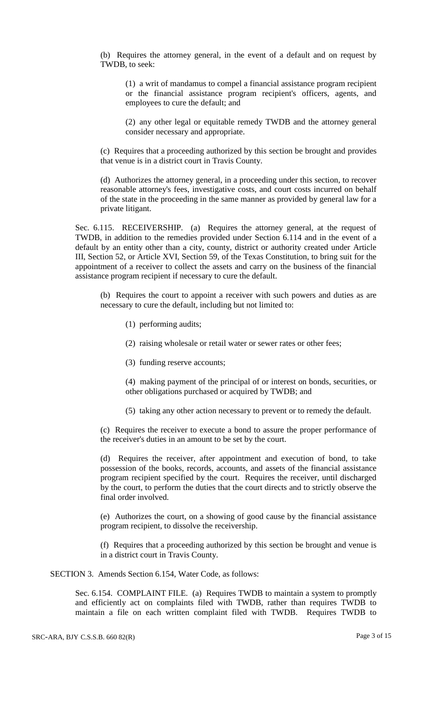(b) Requires the attorney general, in the event of a default and on request by TWDB, to seek:

(1) a writ of mandamus to compel a financial assistance program recipient or the financial assistance program recipient's officers, agents, and employees to cure the default; and

(2) any other legal or equitable remedy TWDB and the attorney general consider necessary and appropriate.

(c) Requires that a proceeding authorized by this section be brought and provides that venue is in a district court in Travis County.

(d) Authorizes the attorney general, in a proceeding under this section, to recover reasonable attorney's fees, investigative costs, and court costs incurred on behalf of the state in the proceeding in the same manner as provided by general law for a private litigant.

Sec. 6.115. RECEIVERSHIP. (a) Requires the attorney general, at the request of TWDB, in addition to the remedies provided under Section 6.114 and in the event of a default by an entity other than a city, county, district or authority created under Article III, Section 52, or Article XVI, Section 59, of the Texas Constitution, to bring suit for the appointment of a receiver to collect the assets and carry on the business of the financial assistance program recipient if necessary to cure the default.

(b) Requires the court to appoint a receiver with such powers and duties as are necessary to cure the default, including but not limited to:

- (1) performing audits;
- (2) raising wholesale or retail water or sewer rates or other fees;
- (3) funding reserve accounts;

(4) making payment of the principal of or interest on bonds, securities, or other obligations purchased or acquired by TWDB; and

(5) taking any other action necessary to prevent or to remedy the default.

(c) Requires the receiver to execute a bond to assure the proper performance of the receiver's duties in an amount to be set by the court.

(d) Requires the receiver, after appointment and execution of bond, to take possession of the books, records, accounts, and assets of the financial assistance program recipient specified by the court. Requires the receiver, until discharged by the court, to perform the duties that the court directs and to strictly observe the final order involved.

(e) Authorizes the court, on a showing of good cause by the financial assistance program recipient, to dissolve the receivership.

(f) Requires that a proceeding authorized by this section be brought and venue is in a district court in Travis County.

SECTION 3. Amends Section 6.154, Water Code, as follows:

Sec. 6.154. COMPLAINT FILE. (a) Requires TWDB to maintain a system to promptly and efficiently act on complaints filed with TWDB, rather than requires TWDB to maintain a file on each written complaint filed with TWDB. Requires TWDB to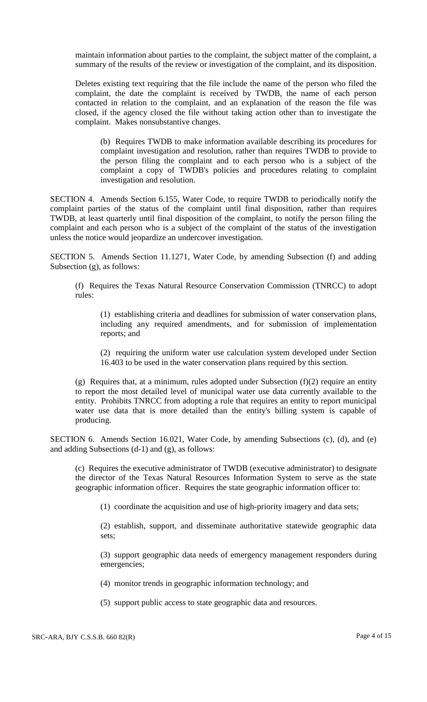maintain information about parties to the complaint, the subject matter of the complaint, a summary of the results of the review or investigation of the complaint, and its disposition.

Deletes existing text requiring that the file include the name of the person who filed the complaint, the date the complaint is received by TWDB, the name of each person contacted in relation to the complaint, and an explanation of the reason the file was closed, if the agency closed the file without taking action other than to investigate the complaint. Makes nonsubstantive changes.

(b) Requires TWDB to make information available describing its procedures for complaint investigation and resolution, rather than requires TWDB to provide to the person filing the complaint and to each person who is a subject of the complaint a copy of TWDB's policies and procedures relating to complaint investigation and resolution.

SECTION 4. Amends Section 6.155, Water Code, to require TWDB to periodically notify the complaint parties of the status of the complaint until final disposition, rather than requires TWDB, at least quarterly until final disposition of the complaint, to notify the person filing the complaint and each person who is a subject of the complaint of the status of the investigation unless the notice would jeopardize an undercover investigation.

SECTION 5. Amends Section 11.1271, Water Code, by amending Subsection (f) and adding Subsection (g), as follows:

(f) Requires the Texas Natural Resource Conservation Commission (TNRCC) to adopt rules:

(1) establishing criteria and deadlines for submission of water conservation plans, including any required amendments, and for submission of implementation reports; and

(2) requiring the uniform water use calculation system developed under Section 16.403 to be used in the water conservation plans required by this section.

(g) Requires that, at a minimum, rules adopted under Subsection (f)(2) require an entity to report the most detailed level of municipal water use data currently available to the entity. Prohibits TNRCC from adopting a rule that requires an entity to report municipal water use data that is more detailed than the entity's billing system is capable of producing.

SECTION 6. Amends Section 16.021, Water Code, by amending Subsections (c), (d), and (e) and adding Subsections (d-1) and (g), as follows:

(c) Requires the executive administrator of TWDB (executive administrator) to designate the director of the Texas Natural Resources Information System to serve as the state geographic information officer. Requires the state geographic information officer to:

(1) coordinate the acquisition and use of high-priority imagery and data sets;

(2) establish, support, and disseminate authoritative statewide geographic data sets;

(3) support geographic data needs of emergency management responders during emergencies;

(4) monitor trends in geographic information technology; and

(5) support public access to state geographic data and resources.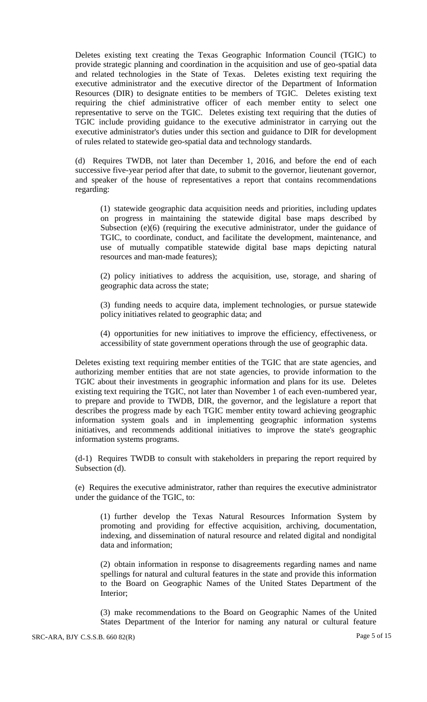Deletes existing text creating the Texas Geographic Information Council (TGIC) to provide strategic planning and coordination in the acquisition and use of geo-spatial data and related technologies in the State of Texas. Deletes existing text requiring the executive administrator and the executive director of the Department of Information Resources (DIR) to designate entities to be members of TGIC. Deletes existing text requiring the chief administrative officer of each member entity to select one representative to serve on the TGIC. Deletes existing text requiring that the duties of TGIC include providing guidance to the executive administrator in carrying out the executive administrator's duties under this section and guidance to DIR for development of rules related to statewide geo-spatial data and technology standards.

(d) Requires TWDB, not later than December 1, 2016, and before the end of each successive five-year period after that date, to submit to the governor, lieutenant governor, and speaker of the house of representatives a report that contains recommendations regarding:

(1) statewide geographic data acquisition needs and priorities, including updates on progress in maintaining the statewide digital base maps described by Subsection (e)(6) (requiring the executive administrator, under the guidance of TGIC, to coordinate, conduct, and facilitate the development, maintenance, and use of mutually compatible statewide digital base maps depicting natural resources and man-made features);

(2) policy initiatives to address the acquisition, use, storage, and sharing of geographic data across the state;

(3) funding needs to acquire data, implement technologies, or pursue statewide policy initiatives related to geographic data; and

(4) opportunities for new initiatives to improve the efficiency, effectiveness, or accessibility of state government operations through the use of geographic data.

Deletes existing text requiring member entities of the TGIC that are state agencies, and authorizing member entities that are not state agencies, to provide information to the TGIC about their investments in geographic information and plans for its use. Deletes existing text requiring the TGIC, not later than November 1 of each even-numbered year, to prepare and provide to TWDB, DIR, the governor, and the legislature a report that describes the progress made by each TGIC member entity toward achieving geographic information system goals and in implementing geographic information systems initiatives, and recommends additional initiatives to improve the state's geographic information systems programs.

(d-1) Requires TWDB to consult with stakeholders in preparing the report required by Subsection (d).

(e) Requires the executive administrator, rather than requires the executive administrator under the guidance of the TGIC, to:

(1) further develop the Texas Natural Resources Information System by promoting and providing for effective acquisition, archiving, documentation, indexing, and dissemination of natural resource and related digital and nondigital data and information;

(2) obtain information in response to disagreements regarding names and name spellings for natural and cultural features in the state and provide this information to the Board on Geographic Names of the United States Department of the Interior;

(3) make recommendations to the Board on Geographic Names of the United States Department of the Interior for naming any natural or cultural feature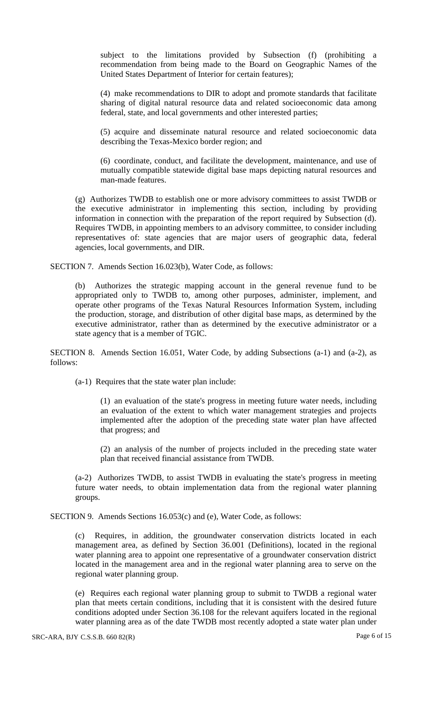subject to the limitations provided by Subsection (f) (prohibiting a recommendation from being made to the Board on Geographic Names of the United States Department of Interior for certain features);

(4) make recommendations to DIR to adopt and promote standards that facilitate sharing of digital natural resource data and related socioeconomic data among federal, state, and local governments and other interested parties;

(5) acquire and disseminate natural resource and related socioeconomic data describing the Texas-Mexico border region; and

(6) coordinate, conduct, and facilitate the development, maintenance, and use of mutually compatible statewide digital base maps depicting natural resources and man-made features.

(g) Authorizes TWDB to establish one or more advisory committees to assist TWDB or the executive administrator in implementing this section, including by providing information in connection with the preparation of the report required by Subsection (d). Requires TWDB, in appointing members to an advisory committee, to consider including representatives of: state agencies that are major users of geographic data, federal agencies, local governments, and DIR.

SECTION 7. Amends Section 16.023(b), Water Code, as follows:

(b) Authorizes the strategic mapping account in the general revenue fund to be appropriated only to TWDB to, among other purposes, administer, implement, and operate other programs of the Texas Natural Resources Information System, including the production, storage, and distribution of other digital base maps, as determined by the executive administrator, rather than as determined by the executive administrator or a state agency that is a member of TGIC.

SECTION 8. Amends Section 16.051, Water Code, by adding Subsections (a-1) and (a-2), as follows:

(a-1) Requires that the state water plan include:

(1) an evaluation of the state's progress in meeting future water needs, including an evaluation of the extent to which water management strategies and projects implemented after the adoption of the preceding state water plan have affected that progress; and

(2) an analysis of the number of projects included in the preceding state water plan that received financial assistance from TWDB.

(a-2) Authorizes TWDB, to assist TWDB in evaluating the state's progress in meeting future water needs, to obtain implementation data from the regional water planning groups.

SECTION 9. Amends Sections 16.053(c) and (e), Water Code, as follows:

(c) Requires, in addition, the groundwater conservation districts located in each management area, as defined by Section 36.001 (Definitions), located in the regional water planning area to appoint one representative of a groundwater conservation district located in the management area and in the regional water planning area to serve on the regional water planning group.

(e) Requires each regional water planning group to submit to TWDB a regional water plan that meets certain conditions, including that it is consistent with the desired future conditions adopted under Section 36.108 for the relevant aquifers located in the regional water planning area as of the date TWDB most recently adopted a state water plan under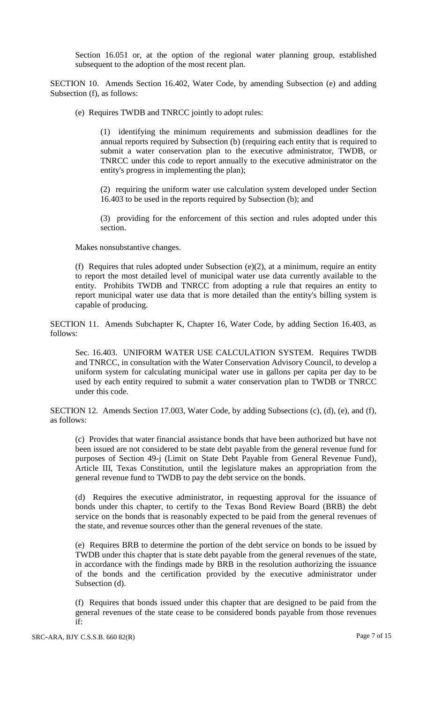Section 16.051 or, at the option of the regional water planning group, established subsequent to the adoption of the most recent plan.

SECTION 10. Amends Section 16.402, Water Code, by amending Subsection (e) and adding Subsection (f), as follows:

(e) Requires TWDB and TNRCC jointly to adopt rules:

(1) identifying the minimum requirements and submission deadlines for the annual reports required by Subsection (b) (requiring each entity that is required to submit a water conservation plan to the executive administrator, TWDB, or TNRCC under this code to report annually to the executive administrator on the entity's progress in implementing the plan);

(2) requiring the uniform water use calculation system developed under Section 16.403 to be used in the reports required by Subsection (b); and

(3) providing for the enforcement of this section and rules adopted under this section.

Makes nonsubstantive changes.

(f) Requires that rules adopted under Subsection (e)(2), at a minimum, require an entity to report the most detailed level of municipal water use data currently available to the entity. Prohibits TWDB and TNRCC from adopting a rule that requires an entity to report municipal water use data that is more detailed than the entity's billing system is capable of producing.

SECTION 11. Amends Subchapter K, Chapter 16, Water Code, by adding Section 16.403, as follows:

Sec. 16.403. UNIFORM WATER USE CALCULATION SYSTEM. Requires TWDB and TNRCC, in consultation with the Water Conservation Advisory Council, to develop a uniform system for calculating municipal water use in gallons per capita per day to be used by each entity required to submit a water conservation plan to TWDB or TNRCC under this code.

SECTION 12. Amends Section 17.003, Water Code, by adding Subsections (c), (d), (e), and (f), as follows:

(c) Provides that water financial assistance bonds that have been authorized but have not been issued are not considered to be state debt payable from the general revenue fund for purposes of Section 49-j (Limit on State Debt Payable from General Revenue Fund), Article III, Texas Constitution, until the legislature makes an appropriation from the general revenue fund to TWDB to pay the debt service on the bonds.

(d) Requires the executive administrator, in requesting approval for the issuance of bonds under this chapter, to certify to the Texas Bond Review Board (BRB) the debt service on the bonds that is reasonably expected to be paid from the general revenues of the state, and revenue sources other than the general revenues of the state.

(e) Requires BRB to determine the portion of the debt service on bonds to be issued by TWDB under this chapter that is state debt payable from the general revenues of the state, in accordance with the findings made by BRB in the resolution authorizing the issuance of the bonds and the certification provided by the executive administrator under Subsection (d).

(f) Requires that bonds issued under this chapter that are designed to be paid from the general revenues of the state cease to be considered bonds payable from those revenues if: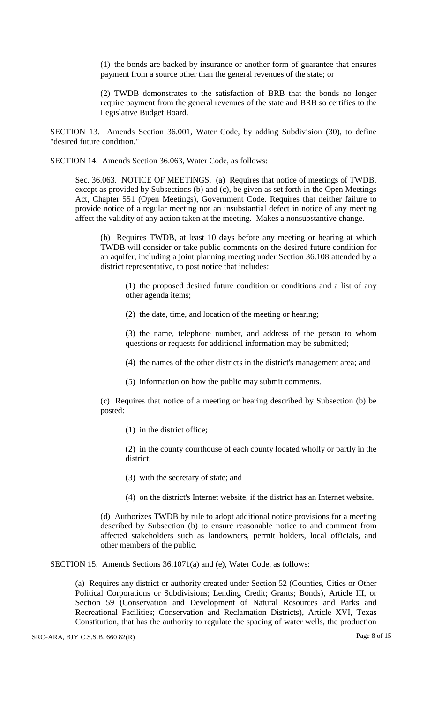(1) the bonds are backed by insurance or another form of guarantee that ensures payment from a source other than the general revenues of the state; or

(2) TWDB demonstrates to the satisfaction of BRB that the bonds no longer require payment from the general revenues of the state and BRB so certifies to the Legislative Budget Board.

SECTION 13. Amends Section 36.001, Water Code, by adding Subdivision (30), to define "desired future condition."

SECTION 14. Amends Section 36.063, Water Code, as follows:

Sec. 36.063. NOTICE OF MEETINGS. (a) Requires that notice of meetings of TWDB, except as provided by Subsections (b) and (c), be given as set forth in the Open Meetings Act, Chapter 551 (Open Meetings), Government Code. Requires that neither failure to provide notice of a regular meeting nor an insubstantial defect in notice of any meeting affect the validity of any action taken at the meeting. Makes a nonsubstantive change.

(b) Requires TWDB, at least 10 days before any meeting or hearing at which TWDB will consider or take public comments on the desired future condition for an aquifer, including a joint planning meeting under Section 36.108 attended by a district representative, to post notice that includes:

(1) the proposed desired future condition or conditions and a list of any other agenda items;

(2) the date, time, and location of the meeting or hearing;

(3) the name, telephone number, and address of the person to whom questions or requests for additional information may be submitted;

(4) the names of the other districts in the district's management area; and

(5) information on how the public may submit comments.

(c) Requires that notice of a meeting or hearing described by Subsection (b) be posted:

(1) in the district office;

(2) in the county courthouse of each county located wholly or partly in the district;

(3) with the secretary of state; and

(4) on the district's Internet website, if the district has an Internet website.

(d) Authorizes TWDB by rule to adopt additional notice provisions for a meeting described by Subsection (b) to ensure reasonable notice to and comment from affected stakeholders such as landowners, permit holders, local officials, and other members of the public.

SECTION 15. Amends Sections 36.1071(a) and (e), Water Code, as follows:

(a) Requires any district or authority created under Section 52 (Counties, Cities or Other Political Corporations or Subdivisions; Lending Credit; Grants; Bonds), Article III, or Section 59 (Conservation and Development of Natural Resources and Parks and Recreational Facilities; Conservation and Reclamation Districts), Article XVI, Texas Constitution, that has the authority to regulate the spacing of water wells, the production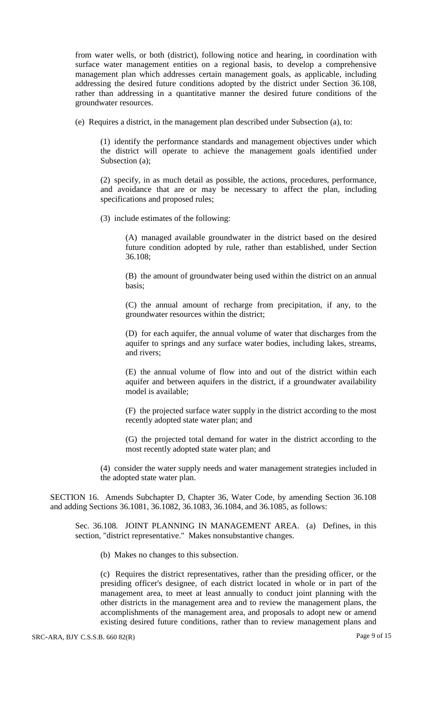from water wells, or both (district), following notice and hearing, in coordination with surface water management entities on a regional basis, to develop a comprehensive management plan which addresses certain management goals, as applicable, including addressing the desired future conditions adopted by the district under Section 36.108, rather than addressing in a quantitative manner the desired future conditions of the groundwater resources.

(e) Requires a district, in the management plan described under Subsection (a), to:

(1) identify the performance standards and management objectives under which the district will operate to achieve the management goals identified under Subsection (a);

(2) specify, in as much detail as possible, the actions, procedures, performance, and avoidance that are or may be necessary to affect the plan, including specifications and proposed rules;

(3) include estimates of the following:

(A) managed available groundwater in the district based on the desired future condition adopted by rule, rather than established, under Section 36.108;

(B) the amount of groundwater being used within the district on an annual basis;

(C) the annual amount of recharge from precipitation, if any, to the groundwater resources within the district;

(D) for each aquifer, the annual volume of water that discharges from the aquifer to springs and any surface water bodies, including lakes, streams, and rivers;

(E) the annual volume of flow into and out of the district within each aquifer and between aquifers in the district, if a groundwater availability model is available;

(F) the projected surface water supply in the district according to the most recently adopted state water plan; and

(G) the projected total demand for water in the district according to the most recently adopted state water plan; and

(4) consider the water supply needs and water management strategies included in the adopted state water plan.

SECTION 16. Amends Subchapter D, Chapter 36, Water Code, by amending Section 36.108 and adding Sections 36.1081, 36.1082, 36.1083, 36.1084, and 36.1085, as follows:

Sec. 36.108. JOINT PLANNING IN MANAGEMENT AREA. (a) Defines, in this section, "district representative." Makes nonsubstantive changes.

(b) Makes no changes to this subsection.

(c) Requires the district representatives, rather than the presiding officer, or the presiding officer's designee, of each district located in whole or in part of the management area, to meet at least annually to conduct joint planning with the other districts in the management area and to review the management plans, the accomplishments of the management area, and proposals to adopt new or amend existing desired future conditions, rather than to review management plans and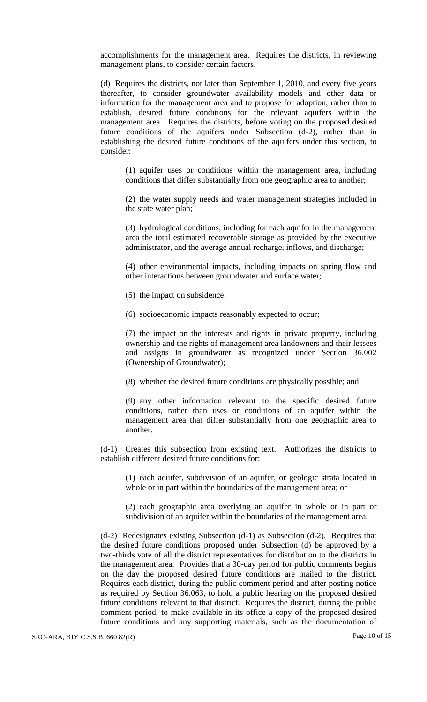accomplishments for the management area. Requires the districts, in reviewing management plans, to consider certain factors.

(d) Requires the districts, not later than September 1, 2010, and every five years thereafter, to consider groundwater availability models and other data or information for the management area and to propose for adoption, rather than to establish, desired future conditions for the relevant aquifers within the management area. Requires the districts, before voting on the proposed desired future conditions of the aquifers under Subsection (d-2), rather than in establishing the desired future conditions of the aquifers under this section, to consider:

(1) aquifer uses or conditions within the management area, including conditions that differ substantially from one geographic area to another;

(2) the water supply needs and water management strategies included in the state water plan;

(3) hydrological conditions, including for each aquifer in the management area the total estimated recoverable storage as provided by the executive administrator, and the average annual recharge, inflows, and discharge;

(4) other environmental impacts, including impacts on spring flow and other interactions between groundwater and surface water;

(5) the impact on subsidence;

(6) socioeconomic impacts reasonably expected to occur;

(7) the impact on the interests and rights in private property, including ownership and the rights of management area landowners and their lessees and assigns in groundwater as recognized under Section 36.002 (Ownership of Groundwater);

(8) whether the desired future conditions are physically possible; and

(9) any other information relevant to the specific desired future conditions, rather than uses or conditions of an aquifer within the management area that differ substantially from one geographic area to another.

(d-1) Creates this subsection from existing text. Authorizes the districts to establish different desired future conditions for:

(1) each aquifer, subdivision of an aquifer, or geologic strata located in whole or in part within the boundaries of the management area; or

(2) each geographic area overlying an aquifer in whole or in part or subdivision of an aquifer within the boundaries of the management area.

(d-2) Redesignates existing Subsection (d-1) as Subsection (d-2). Requires that the desired future conditions proposed under Subsection (d) be approved by a two-thirds vote of all the district representatives for distribution to the districts in the management area. Provides that a 30-day period for public comments begins on the day the proposed desired future conditions are mailed to the district. Requires each district, during the public comment period and after posting notice as required by Section 36.063, to hold a public hearing on the proposed desired future conditions relevant to that district. Requires the district, during the public comment period, to make available in its office a copy of the proposed desired future conditions and any supporting materials, such as the documentation of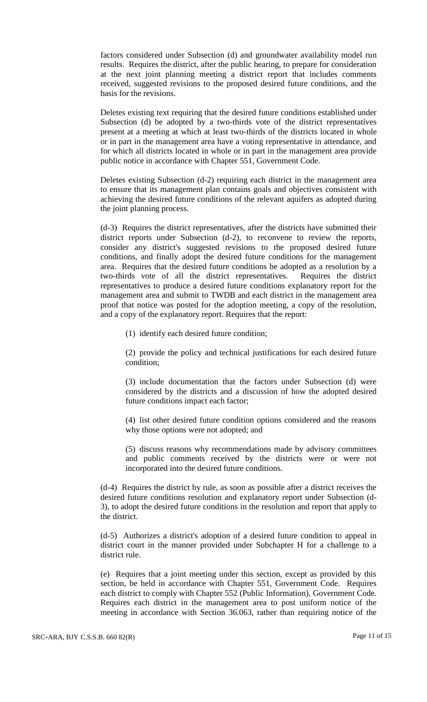factors considered under Subsection (d) and groundwater availability model run results. Requires the district, after the public hearing, to prepare for consideration at the next joint planning meeting a district report that includes comments received, suggested revisions to the proposed desired future conditions, and the basis for the revisions.

Deletes existing text requiring that the desired future conditions established under Subsection (d) be adopted by a two-thirds vote of the district representatives present at a meeting at which at least two-thirds of the districts located in whole or in part in the management area have a voting representative in attendance, and for which all districts located in whole or in part in the management area provide public notice in accordance with Chapter 551, Government Code.

Deletes existing Subsection (d-2) requiring each district in the management area to ensure that its management plan contains goals and objectives consistent with achieving the desired future conditions of the relevant aquifers as adopted during the joint planning process.

(d-3) Requires the district representatives, after the districts have submitted their district reports under Subsection (d-2), to reconvene to review the reports, consider any district's suggested revisions to the proposed desired future conditions, and finally adopt the desired future conditions for the management area. Requires that the desired future conditions be adopted as a resolution by a two-thirds vote of all the district representatives. Requires the district representatives to produce a desired future conditions explanatory report for the management area and submit to TWDB and each district in the management area proof that notice was posted for the adoption meeting, a copy of the resolution, and a copy of the explanatory report. Requires that the report:

(1) identify each desired future condition;

(2) provide the policy and technical justifications for each desired future condition;

(3) include documentation that the factors under Subsection (d) were considered by the districts and a discussion of how the adopted desired future conditions impact each factor;

(4) list other desired future condition options considered and the reasons why those options were not adopted; and

(5) discuss reasons why recommendations made by advisory committees and public comments received by the districts were or were not incorporated into the desired future conditions.

(d-4) Requires the district by rule, as soon as possible after a district receives the desired future conditions resolution and explanatory report under Subsection (d-3), to adopt the desired future conditions in the resolution and report that apply to the district.

(d-5) Authorizes a district's adoption of a desired future condition to appeal in district court in the manner provided under Subchapter H for a challenge to a district rule.

(e) Requires that a joint meeting under this section, except as provided by this section, be held in accordance with Chapter 551, Government Code. Requires each district to comply with Chapter 552 (Public Information), Government Code. Requires each district in the management area to post uniform notice of the meeting in accordance with Section 36.063, rather than requiring notice of the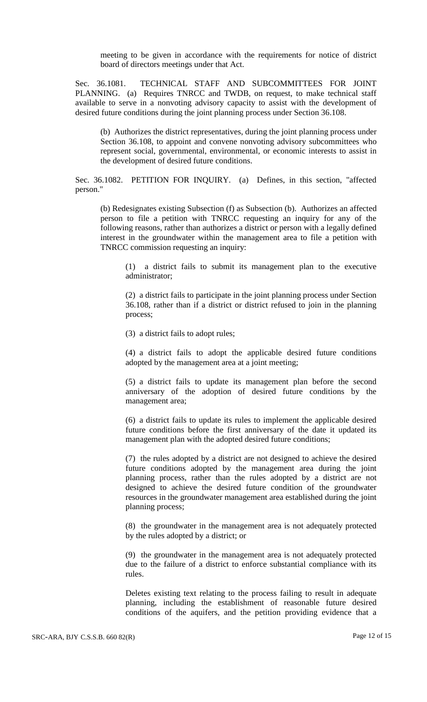meeting to be given in accordance with the requirements for notice of district board of directors meetings under that Act.

Sec. 36.1081. TECHNICAL STAFF AND SUBCOMMITTEES FOR JOINT PLANNING. (a) Requires TNRCC and TWDB, on request, to make technical staff available to serve in a nonvoting advisory capacity to assist with the development of desired future conditions during the joint planning process under Section 36.108.

(b) Authorizes the district representatives, during the joint planning process under Section 36.108, to appoint and convene nonvoting advisory subcommittees who represent social, governmental, environmental, or economic interests to assist in the development of desired future conditions.

Sec. 36.1082. PETITION FOR INQUIRY. (a) Defines, in this section, "affected person."

(b) Redesignates existing Subsection (f) as Subsection (b). Authorizes an affected person to file a petition with TNRCC requesting an inquiry for any of the following reasons, rather than authorizes a district or person with a legally defined interest in the groundwater within the management area to file a petition with TNRCC commission requesting an inquiry:

(1) a district fails to submit its management plan to the executive administrator;

(2) a district fails to participate in the joint planning process under Section 36.108, rather than if a district or district refused to join in the planning process;

(3) a district fails to adopt rules;

(4) a district fails to adopt the applicable desired future conditions adopted by the management area at a joint meeting;

(5) a district fails to update its management plan before the second anniversary of the adoption of desired future conditions by the management area;

(6) a district fails to update its rules to implement the applicable desired future conditions before the first anniversary of the date it updated its management plan with the adopted desired future conditions;

(7) the rules adopted by a district are not designed to achieve the desired future conditions adopted by the management area during the joint planning process, rather than the rules adopted by a district are not designed to achieve the desired future condition of the groundwater resources in the groundwater management area established during the joint planning process;

(8) the groundwater in the management area is not adequately protected by the rules adopted by a district; or

(9) the groundwater in the management area is not adequately protected due to the failure of a district to enforce substantial compliance with its rules.

Deletes existing text relating to the process failing to result in adequate planning, including the establishment of reasonable future desired conditions of the aquifers, and the petition providing evidence that a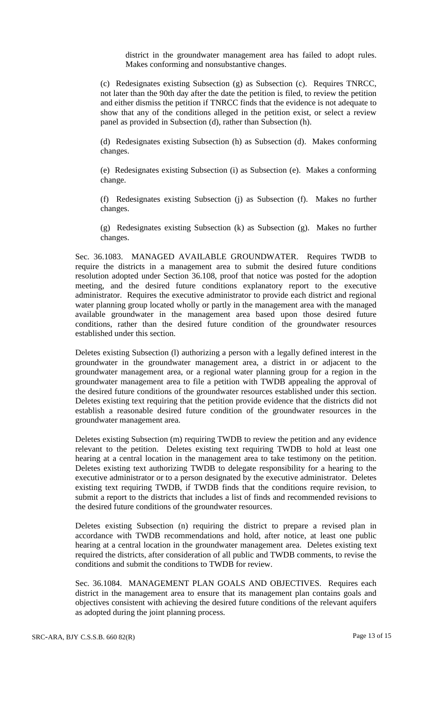district in the groundwater management area has failed to adopt rules. Makes conforming and nonsubstantive changes.

(c) Redesignates existing Subsection (g) as Subsection (c). Requires TNRCC, not later than the 90th day after the date the petition is filed, to review the petition and either dismiss the petition if TNRCC finds that the evidence is not adequate to show that any of the conditions alleged in the petition exist, or select a review panel as provided in Subsection (d), rather than Subsection (h).

(d) Redesignates existing Subsection (h) as Subsection (d). Makes conforming changes.

(e) Redesignates existing Subsection (i) as Subsection (e). Makes a conforming change.

(f) Redesignates existing Subsection (j) as Subsection (f). Makes no further changes.

(g) Redesignates existing Subsection (k) as Subsection (g). Makes no further changes.

Sec. 36.1083. MANAGED AVAILABLE GROUNDWATER. Requires TWDB to require the districts in a management area to submit the desired future conditions resolution adopted under Section 36.108, proof that notice was posted for the adoption meeting, and the desired future conditions explanatory report to the executive administrator. Requires the executive administrator to provide each district and regional water planning group located wholly or partly in the management area with the managed available groundwater in the management area based upon those desired future conditions, rather than the desired future condition of the groundwater resources established under this section.

Deletes existing Subsection (l) authorizing a person with a legally defined interest in the groundwater in the groundwater management area, a district in or adjacent to the groundwater management area, or a regional water planning group for a region in the groundwater management area to file a petition with TWDB appealing the approval of the desired future conditions of the groundwater resources established under this section. Deletes existing text requiring that the petition provide evidence that the districts did not establish a reasonable desired future condition of the groundwater resources in the groundwater management area.

Deletes existing Subsection (m) requiring TWDB to review the petition and any evidence relevant to the petition. Deletes existing text requiring TWDB to hold at least one hearing at a central location in the management area to take testimony on the petition. Deletes existing text authorizing TWDB to delegate responsibility for a hearing to the executive administrator or to a person designated by the executive administrator. Deletes existing text requiring TWDB, if TWDB finds that the conditions require revision, to submit a report to the districts that includes a list of finds and recommended revisions to the desired future conditions of the groundwater resources.

Deletes existing Subsection (n) requiring the district to prepare a revised plan in accordance with TWDB recommendations and hold, after notice, at least one public hearing at a central location in the groundwater management area. Deletes existing text required the districts, after consideration of all public and TWDB comments, to revise the conditions and submit the conditions to TWDB for review.

Sec. 36.1084. MANAGEMENT PLAN GOALS AND OBJECTIVES. Requires each district in the management area to ensure that its management plan contains goals and objectives consistent with achieving the desired future conditions of the relevant aquifers as adopted during the joint planning process.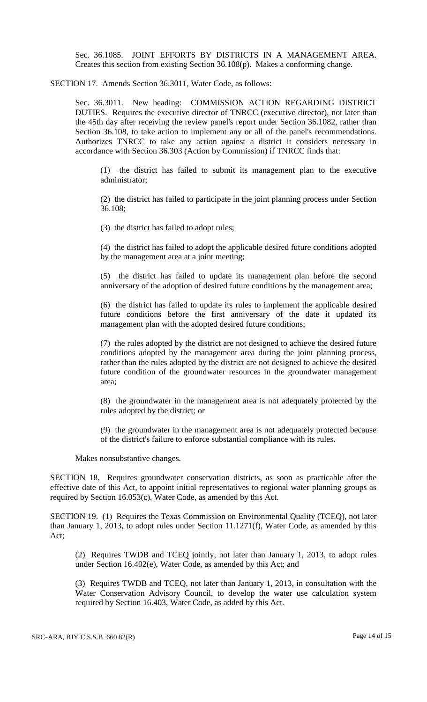Sec. 36.1085. JOINT EFFORTS BY DISTRICTS IN A MANAGEMENT AREA. Creates this section from existing Section 36.108(p). Makes a conforming change.

SECTION 17. Amends Section 36.3011, Water Code, as follows:

Sec. 36.3011. New heading: COMMISSION ACTION REGARDING DISTRICT DUTIES. Requires the executive director of TNRCC (executive director), not later than the 45th day after receiving the review panel's report under Section 36.1082, rather than Section 36.108, to take action to implement any or all of the panel's recommendations. Authorizes TNRCC to take any action against a district it considers necessary in accordance with Section 36.303 (Action by Commission) if TNRCC finds that:

(1) the district has failed to submit its management plan to the executive administrator;

(2) the district has failed to participate in the joint planning process under Section 36.108;

(3) the district has failed to adopt rules;

(4) the district has failed to adopt the applicable desired future conditions adopted by the management area at a joint meeting;

(5) the district has failed to update its management plan before the second anniversary of the adoption of desired future conditions by the management area;

(6) the district has failed to update its rules to implement the applicable desired future conditions before the first anniversary of the date it updated its management plan with the adopted desired future conditions;

(7) the rules adopted by the district are not designed to achieve the desired future conditions adopted by the management area during the joint planning process, rather than the rules adopted by the district are not designed to achieve the desired future condition of the groundwater resources in the groundwater management area;

(8) the groundwater in the management area is not adequately protected by the rules adopted by the district; or

(9) the groundwater in the management area is not adequately protected because of the district's failure to enforce substantial compliance with its rules.

Makes nonsubstantive changes.

SECTION 18. Requires groundwater conservation districts, as soon as practicable after the effective date of this Act, to appoint initial representatives to regional water planning groups as required by Section 16.053(c), Water Code, as amended by this Act.

SECTION 19. (1) Requires the Texas Commission on Environmental Quality (TCEQ), not later than January 1, 2013, to adopt rules under Section 11.1271(f), Water Code, as amended by this Act;

(2) Requires TWDB and TCEQ jointly, not later than January 1, 2013, to adopt rules under Section 16.402(e), Water Code, as amended by this Act; and

(3) Requires TWDB and TCEQ, not later than January 1, 2013, in consultation with the Water Conservation Advisory Council, to develop the water use calculation system required by Section 16.403, Water Code, as added by this Act.